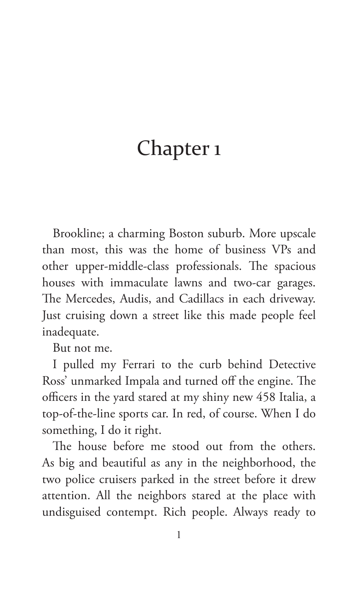# Chapter 1

Brookline; a charming Boston suburb. More upscale than most, this was the home of business VPs and other upper-middle-class professionals. The spacious houses with immaculate lawns and two-car garages. The Mercedes, Audis, and Cadillacs in each driveway. Just cruising down a street like this made people feel inadequate.

But not me.

I pulled my Ferrari to the curb behind Detective Ross' unmarked Impala and turned off the engine. The officers in the yard stared at my shiny new 458 Italia, a top-of-the-line sports car. In red, of course. When I do something, I do it right.

The house before me stood out from the others. As big and beautiful as any in the neighborhood, the two police cruisers parked in the street before it drew attention. All the neighbors stared at the place with undisguised contempt. Rich people. Always ready to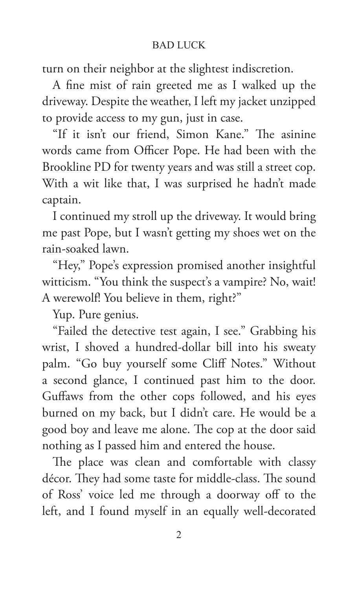turn on their neighbor at the slightest indiscretion.

A fine mist of rain greeted me as I walked up the driveway. Despite the weather, I left my jacket unzipped to provide access to my gun, just in case.

"If it isn't our friend, Simon Kane." The asinine words came from Officer Pope. He had been with the Brookline PD for twenty years and was still a street cop. With a wit like that, I was surprised he hadn't made captain.

I continued my stroll up the driveway. It would bring me past Pope, but I wasn't getting my shoes wet on the rain-soaked lawn.

"Hey," Pope's expression promised another insightful witticism. "You think the suspect's a vampire? No, wait! A werewolf! You believe in them, right?"

Yup. Pure genius.

"Failed the detective test again, I see." Grabbing his wrist, I shoved a hundred-dollar bill into his sweaty palm. "Go buy yourself some Cliff Notes." Without a second glance, I continued past him to the door. Guffaws from the other cops followed, and his eyes burned on my back, but I didn't care. He would be a good boy and leave me alone. The cop at the door said nothing as I passed him and entered the house.

The place was clean and comfortable with classy décor. They had some taste for middle-class. The sound of Ross' voice led me through a doorway off to the left, and I found myself in an equally well-decorated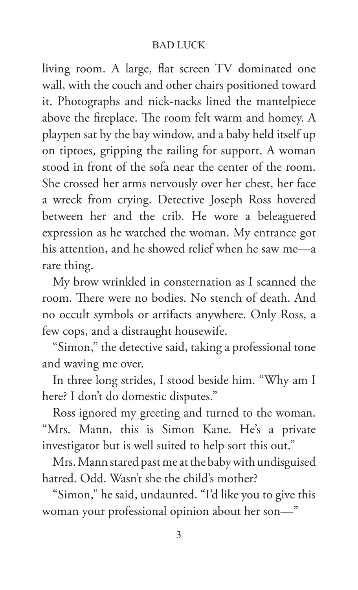living room. A large, flat screen TV dominated one wall, with the couch and other chairs positioned toward it. Photographs and nick-nacks lined the mantelpiece above the fireplace. The room felt warm and homey. A playpen sat by the bay window, and a baby held itself up on tiptoes, gripping the railing for support. A woman stood in front of the sofa near the center of the room. She crossed her arms nervously over her chest, her face a wreck from crying. Detective Joseph Ross hovered between her and the crib. He wore a beleaguered expression as he watched the woman. My entrance got his attention, and he showed relief when he saw me—a rare thing.

My brow wrinkled in consternation as I scanned the room. There were no bodies. No stench of death. And no occult symbols or artifacts anywhere. Only Ross, a few cops, and a distraught housewife.

"Simon," the detective said, taking a professional tone and waving me over.

In three long strides, I stood beside him. "Why am I here? I don't do domestic disputes."

Ross ignored my greeting and turned to the woman. "Mrs. Mann, this is Simon Kane. He's a private investigator but is well suited to help sort this out."

Mrs. Mann stared past me at the baby with undisguised hatred. Odd. Wasn't she the child's mother?

"Simon," he said, undaunted. "I'd like you to give this woman your professional opinion about her son—"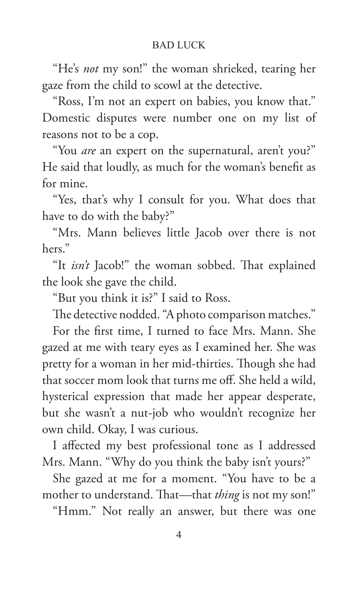"He's *not* my son!" the woman shrieked, tearing her gaze from the child to scowl at the detective.

"Ross, I'm not an expert on babies, you know that." Domestic disputes were number one on my list of reasons not to be a cop.

"You *are* an expert on the supernatural, aren't you?" He said that loudly, as much for the woman's benefit as for mine.

"Yes, that's why I consult for you. What does that have to do with the baby?"

"Mrs. Mann believes little Jacob over there is not hers."

"It *isn't* Jacob!" the woman sobbed. That explained the look she gave the child.

"But you think it is?" I said to Ross.

The detective nodded. "A photo comparison matches." For the first time, I turned to face Mrs. Mann. She gazed at me with teary eyes as I examined her. She was pretty for a woman in her mid-thirties. Though she had that soccer mom look that turns me off. She held a wild, hysterical expression that made her appear desperate, but she wasn't a nut-job who wouldn't recognize her own child. Okay, I was curious.

I affected my best professional tone as I addressed Mrs. Mann. "Why do you think the baby isn't yours?"

She gazed at me for a moment. "You have to be a mother to understand. That—that *thing* is not my son!"

"Hmm." Not really an answer, but there was one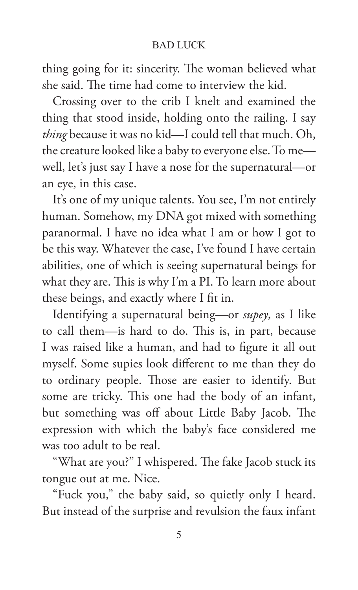thing going for it: sincerity. The woman believed what she said. The time had come to interview the kid.

Crossing over to the crib I knelt and examined the thing that stood inside, holding onto the railing. I say *thing* because it was no kid—I could tell that much. Oh, the creature looked like a baby to everyone else. To me well, let's just say I have a nose for the supernatural—or an eye, in this case.

It's one of my unique talents. You see, I'm not entirely human. Somehow, my DNA got mixed with something paranormal. I have no idea what I am or how I got to be this way. Whatever the case, I've found I have certain abilities, one of which is seeing supernatural beings for what they are. This is why I'm a PI. To learn more about these beings, and exactly where I fit in.

Identifying a supernatural being—or *supey*, as I like to call them—is hard to do. This is, in part, because I was raised like a human, and had to figure it all out myself. Some supies look different to me than they do to ordinary people. Those are easier to identify. But some are tricky. This one had the body of an infant, but something was off about Little Baby Jacob. The expression with which the baby's face considered me was too adult to be real.

"What are you?" I whispered. The fake Jacob stuck its tongue out at me. Nice.

"Fuck you," the baby said, so quietly only I heard. But instead of the surprise and revulsion the faux infant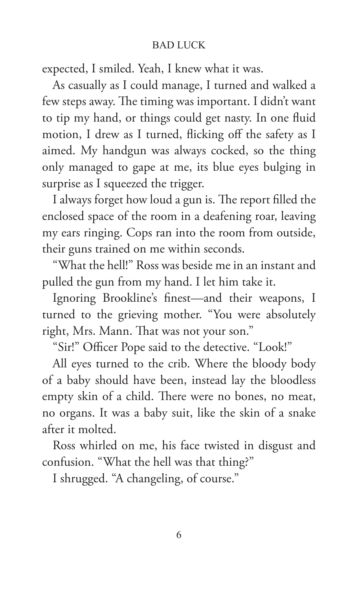expected, I smiled. Yeah, I knew what it was.

As casually as I could manage, I turned and walked a few steps away. The timing was important. I didn't want to tip my hand, or things could get nasty. In one fluid motion, I drew as I turned, flicking off the safety as I aimed. My handgun was always cocked, so the thing only managed to gape at me, its blue eyes bulging in surprise as I squeezed the trigger.

I always forget how loud a gun is. The report filled the enclosed space of the room in a deafening roar, leaving my ears ringing. Cops ran into the room from outside, their guns trained on me within seconds.

"What the hell!" Ross was beside me in an instant and pulled the gun from my hand. I let him take it.

Ignoring Brookline's finest—and their weapons, I turned to the grieving mother. "You were absolutely right, Mrs. Mann. That was not your son."

"Sir!" Officer Pope said to the detective. "Look!"

All eyes turned to the crib. Where the bloody body of a baby should have been, instead lay the bloodless empty skin of a child. There were no bones, no meat, no organs. It was a baby suit, like the skin of a snake after it molted.

Ross whirled on me, his face twisted in disgust and confusion. "What the hell was that thing?"

I shrugged. "A changeling, of course."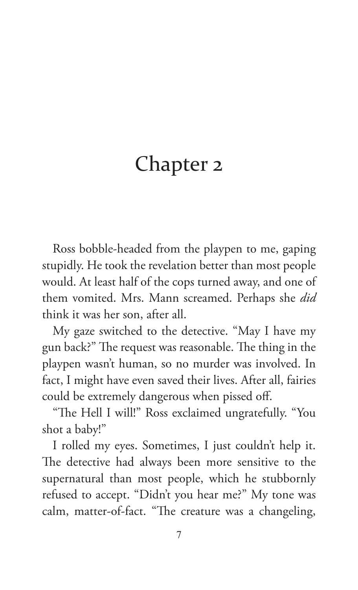# Chapter 2

Ross bobble-headed from the playpen to me, gaping stupidly. He took the revelation better than most people would. At least half of the cops turned away, and one of them vomited. Mrs. Mann screamed. Perhaps she *did*  think it was her son, after all.

My gaze switched to the detective. "May I have my gun back?" The request was reasonable. The thing in the playpen wasn't human, so no murder was involved. In fact, I might have even saved their lives. After all, fairies could be extremely dangerous when pissed off.

"The Hell I will!" Ross exclaimed ungratefully. "You shot a baby!"

I rolled my eyes. Sometimes, I just couldn't help it. The detective had always been more sensitive to the supernatural than most people, which he stubbornly refused to accept. "Didn't you hear me?" My tone was calm, matter-of-fact. "The creature was a changeling,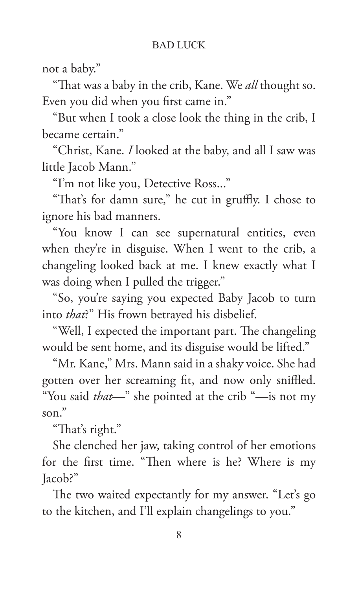not a baby."

"That was a baby in the crib, Kane. We *all* thought so. Even you did when you first came in."

"But when I took a close look the thing in the crib, I became certain."

"Christ, Kane. *I* looked at the baby, and all I saw was little Jacob Mann."

"I'm not like you, Detective Ross..."

"That's for damn sure," he cut in gruffly. I chose to ignore his bad manners.

"You know I can see supernatural entities, even when they're in disguise. When I went to the crib, a changeling looked back at me. I knew exactly what I was doing when I pulled the trigger."

"So, you're saying you expected Baby Jacob to turn into *that*?" His frown betrayed his disbelief.

"Well, I expected the important part. The changeling would be sent home, and its disguise would be lifted."

"Mr. Kane," Mrs. Mann said in a shaky voice. She had gotten over her screaming fit, and now only sniffled. "You said *that—*" she pointed at the crib "—is not my son."

"That's right."

She clenched her jaw, taking control of her emotions for the first time. "Then where is he? Where is my Jacob?"

The two waited expectantly for my answer. "Let's go to the kitchen, and I'll explain changelings to you."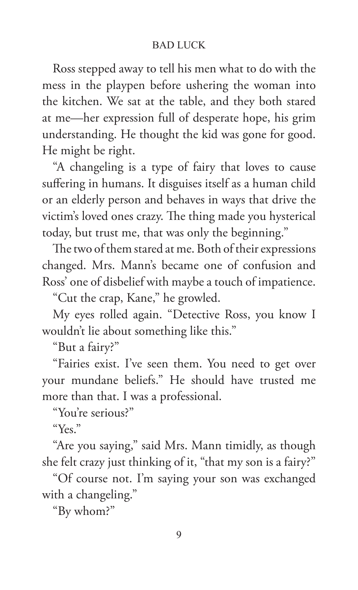Ross stepped away to tell his men what to do with the mess in the playpen before ushering the woman into the kitchen. We sat at the table, and they both stared at me—her expression full of desperate hope, his grim understanding. He thought the kid was gone for good. He might be right.

"A changeling is a type of fairy that loves to cause suffering in humans. It disguises itself as a human child or an elderly person and behaves in ways that drive the victim's loved ones crazy. The thing made you hysterical today, but trust me, that was only the beginning."

The two of them stared at me. Both of their expressions changed. Mrs. Mann's became one of confusion and Ross' one of disbelief with maybe a touch of impatience.

"Cut the crap, Kane," he growled.

My eyes rolled again. "Detective Ross, you know I wouldn't lie about something like this."

"But a fairy?"

"Fairies exist. I've seen them. You need to get over your mundane beliefs." He should have trusted me more than that. I was a professional.

"You're serious?"

"Yes."

"Are you saying," said Mrs. Mann timidly, as though she felt crazy just thinking of it, "that my son is a fairy?"

"Of course not. I'm saying your son was exchanged with a changeling."

"By whom?"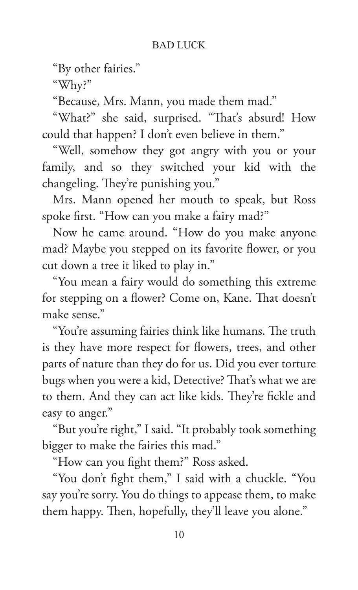"By other fairies."

"Why?"

"Because, Mrs. Mann, you made them mad."

"What?" she said, surprised. "That's absurd! How could that happen? I don't even believe in them."

"Well, somehow they got angry with you or your family, and so they switched your kid with the changeling. They're punishing you."

Mrs. Mann opened her mouth to speak, but Ross spoke first. "How can you make a fairy mad?"

Now he came around. "How do you make anyone mad? Maybe you stepped on its favorite flower, or you cut down a tree it liked to play in."

"You mean a fairy would do something this extreme for stepping on a flower? Come on, Kane. That doesn't make sense."

"You're assuming fairies think like humans. The truth is they have more respect for flowers, trees, and other parts of nature than they do for us. Did you ever torture bugs when you were a kid, Detective? That's what we are to them. And they can act like kids. They're fickle and easy to anger."

"But you're right," I said. "It probably took something bigger to make the fairies this mad."

"How can you fight them?" Ross asked.

"You don't fight them," I said with a chuckle. "You say you're sorry. You do things to appease them, to make them happy. Then, hopefully, they'll leave you alone."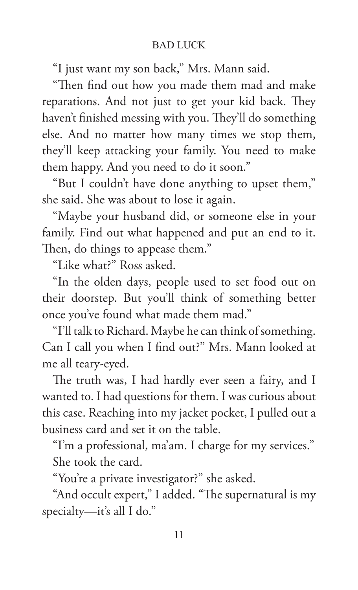"I just want my son back," Mrs. Mann said.

"Then find out how you made them mad and make reparations. And not just to get your kid back. They haven't finished messing with you. They'll do something else. And no matter how many times we stop them, they'll keep attacking your family. You need to make them happy. And you need to do it soon."

"But I couldn't have done anything to upset them," she said. She was about to lose it again.

"Maybe your husband did, or someone else in your family. Find out what happened and put an end to it. Then, do things to appease them."

"Like what?" Ross asked.

"In the olden days, people used to set food out on their doorstep. But you'll think of something better once you've found what made them mad."

"I'll talk to Richard. Maybe he can think of something. Can I call you when I find out?" Mrs. Mann looked at me all teary-eyed.

The truth was, I had hardly ever seen a fairy, and I wanted to. I had questions for them. I was curious about this case. Reaching into my jacket pocket, I pulled out a business card and set it on the table.

"I'm a professional, ma'am. I charge for my services." She took the card.

"You're a private investigator?" she asked.

"And occult expert," I added. "The supernatural is my specialty—it's all I do."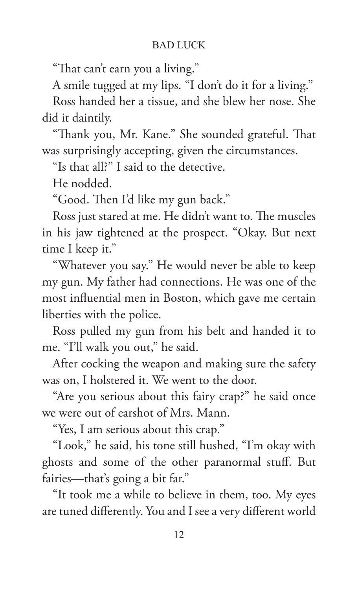"That can't earn you a living."

A smile tugged at my lips. "I don't do it for a living."

Ross handed her a tissue, and she blew her nose. She did it daintily.

"Thank you, Mr. Kane." She sounded grateful. That was surprisingly accepting, given the circumstances.

"Is that all?" I said to the detective.

He nodded.

"Good. Then I'd like my gun back."

Ross just stared at me. He didn't want to. The muscles in his jaw tightened at the prospect. "Okay. But next time I keep it."

"Whatever you say." He would never be able to keep my gun. My father had connections. He was one of the most influential men in Boston, which gave me certain liberties with the police.

Ross pulled my gun from his belt and handed it to me. "I'll walk you out," he said.

After cocking the weapon and making sure the safety was on, I holstered it. We went to the door.

"Are you serious about this fairy crap?" he said once we were out of earshot of Mrs. Mann.

"Yes, I am serious about this crap."

"Look," he said, his tone still hushed, "I'm okay with ghosts and some of the other paranormal stuff. But fairies—that's going a bit far."

"It took me a while to believe in them, too. My eyes are tuned differently. You and I see a very different world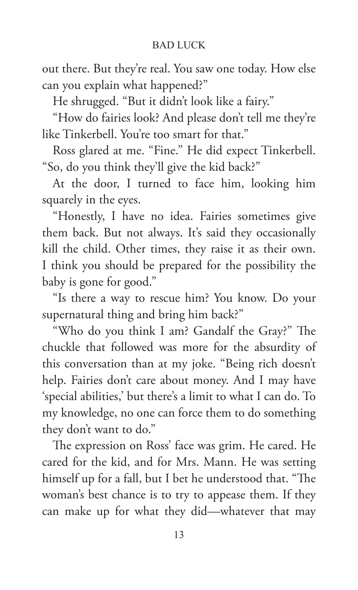out there. But they're real. You saw one today. How else can you explain what happened?"

He shrugged. "But it didn't look like a fairy."

"How do fairies look? And please don't tell me they're like Tinkerbell. You're too smart for that."

Ross glared at me. "Fine." He did expect Tinkerbell. "So, do you think they'll give the kid back?"

At the door, I turned to face him, looking him squarely in the eyes.

"Honestly, I have no idea. Fairies sometimes give them back. But not always. It's said they occasionally kill the child. Other times, they raise it as their own. I think you should be prepared for the possibility the baby is gone for good."

"Is there a way to rescue him? You know. Do your supernatural thing and bring him back?"

"Who do you think I am? Gandalf the Gray?" The chuckle that followed was more for the absurdity of this conversation than at my joke. "Being rich doesn't help. Fairies don't care about money. And I may have 'special abilities,' but there's a limit to what I can do. To my knowledge, no one can force them to do something they don't want to do."

The expression on Ross' face was grim. He cared. He cared for the kid, and for Mrs. Mann. He was setting himself up for a fall, but I bet he understood that. "The woman's best chance is to try to appease them. If they can make up for what they did—whatever that may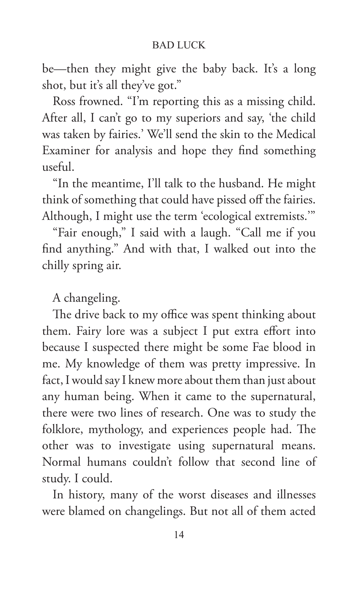be—then they might give the baby back. It's a long shot, but it's all they've got."

Ross frowned. "I'm reporting this as a missing child. After all, I can't go to my superiors and say, 'the child was taken by fairies.' We'll send the skin to the Medical Examiner for analysis and hope they find something useful.

"In the meantime, I'll talk to the husband. He might think of something that could have pissed off the fairies. Although, I might use the term 'ecological extremists.'"

"Fair enough," I said with a laugh. "Call me if you find anything." And with that, I walked out into the chilly spring air.

A changeling.

The drive back to my office was spent thinking about them. Fairy lore was a subject I put extra effort into because I suspected there might be some Fae blood in me. My knowledge of them was pretty impressive. In fact, I would say I knew more about them than just about any human being. When it came to the supernatural, there were two lines of research. One was to study the folklore, mythology, and experiences people had. The other was to investigate using supernatural means. Normal humans couldn't follow that second line of study. I could.

In history, many of the worst diseases and illnesses were blamed on changelings. But not all of them acted